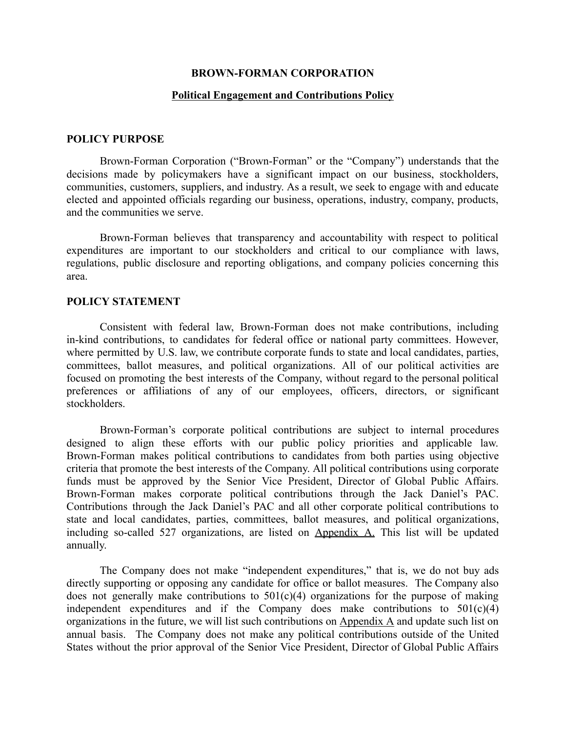#### **BROWN-FORMAN CORPORATION**

#### **Political Engagement and Contributions Policy**

#### **POLICY PURPOSE**

Brown-Forman Corporation ("Brown-Forman" or the "Company") understands that the decisions made by policymakers have a significant impact on our business, stockholders, communities, customers, suppliers, and industry. As a result, we seek to engage with and educate elected and appointed officials regarding our business, operations, industry, company, products, and the communities we serve.

Brown-Forman believes that transparency and accountability with respect to political expenditures are important to our stockholders and critical to our compliance with laws, regulations, public disclosure and reporting obligations, and company policies concerning this area.

# **POLICY STATEMENT**

Consistent with federal law, Brown-Forman does not make contributions, including in-kind contributions, to candidates for federal office or national party committees. However, where permitted by U.S. law, we contribute corporate funds to state and local candidates, parties, committees, ballot measures, and political organizations. All of our political activities are focused on promoting the best interests of the Company, without regard to the personal political preferences or affiliations of any of our employees, officers, directors, or significant stockholders.

Brown-Forman's corporate political contributions are subject to internal procedures designed to align these efforts with our public policy priorities and applicable law. Brown-Forman makes political contributions to candidates from both parties using objective criteria that promote the best interests of the Company. All political contributions using corporate funds must be approved by the Senior Vice President, Director of Global Public Affairs. Brown-Forman makes corporate political contributions through the Jack Daniel's PAC. Contributions through the Jack Daniel's PAC and all other corporate political contributions to state and local candidates, parties, committees, ballot measures, and political organizations, including so-called 527 organizations, are listed on Appendix A. This list will be updated annually.

The Company does not make "independent expenditures," that is, we do not buy ads directly supporting or opposing any candidate for office or ballot measures. The Company also does not generally make contributions to  $501(c)(4)$  organizations for the purpose of making independent expenditures and if the Company does make contributions to  $501(c)(4)$ organizations in the future, we will list such contributions on Appendix A and update such list on annual basis. The Company does not make any political contributions outside of the United States without the prior approval of the Senior Vice President, Director of Global Public Affairs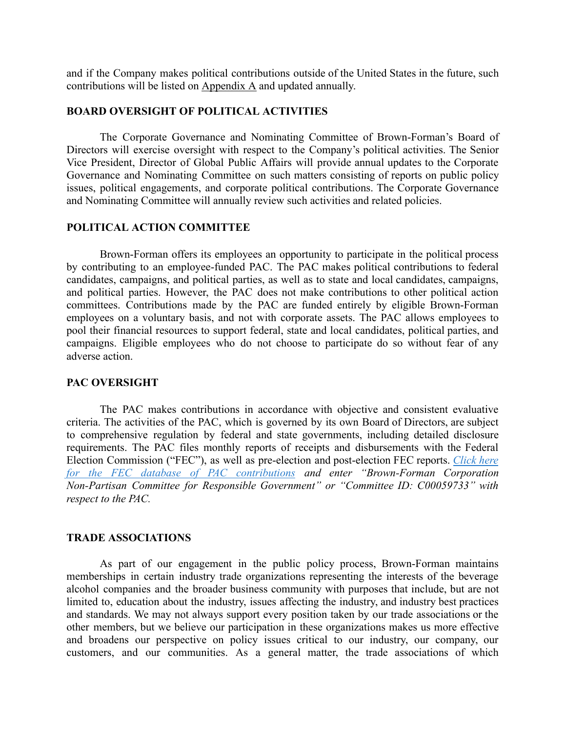and if the Company makes political contributions outside of the United States in the future, such contributions will be listed on Appendix A and updated annually.

#### **BOARD OVERSIGHT OF POLITICAL ACTIVITIES**

The Corporate Governance and Nominating Committee of Brown-Forman's Board of Directors will exercise oversight with respect to the Company's political activities. The Senior Vice President, Director of Global Public Affairs will provide annual updates to the Corporate Governance and Nominating Committee on such matters consisting of reports on public policy issues, political engagements, and corporate political contributions. The Corporate Governance and Nominating Committee will annually review such activities and related policies.

#### **POLITICAL ACTION COMMITTEE**

Brown-Forman offers its employees an opportunity to participate in the political process by contributing to an employee-funded PAC. The PAC makes political contributions to federal candidates, campaigns, and political parties, as well as to state and local candidates, campaigns, and political parties. However, the PAC does not make contributions to other political action committees. Contributions made by the PAC are funded entirely by eligible Brown-Forman employees on a voluntary basis, and not with corporate assets. The PAC allows employees to pool their financial resources to support federal, state and local candidates, political parties, and campaigns. Eligible employees who do not choose to participate do so without fear of any adverse action.

#### **PAC OVERSIGHT**

The PAC makes contributions in accordance with objective and consistent evaluative criteria. The activities of the PAC, which is governed by its own Board of Directors, are subject to comprehensive regulation by federal and state governments, including detailed disclosure requirements. The PAC files monthly reports of receipts and disbursements with the Federal Election Commission ("FEC"), as well as pre-election and post-election FEC reports. *[Click](https://urldefense.proofpoint.com/v2/url?u=http-3A__www.fec.gov_finance_disclosure_candcmte-5Finfo.shtml&d=DwMFaQ&c=jxhwBfk-KSV6FFIot0PGng&r=fY8m6ktI_7kOBo0l879e4Q&m=7M7u7sySCR1nR7_C6FiSpyiJsy1NEKtPgees3G4usTY&s=Sb_jJ99y_2IdAZ6T2mwpnG72eTk4h5tDOzCN90kB_BE&e=) here for the FEC database of PAC [contributions](https://urldefense.proofpoint.com/v2/url?u=http-3A__www.fec.gov_finance_disclosure_candcmte-5Finfo.shtml&d=DwMFaQ&c=jxhwBfk-KSV6FFIot0PGng&r=fY8m6ktI_7kOBo0l879e4Q&m=7M7u7sySCR1nR7_C6FiSpyiJsy1NEKtPgees3G4usTY&s=Sb_jJ99y_2IdAZ6T2mwpnG72eTk4h5tDOzCN90kB_BE&e=) and enter "Brown-Forman Corporation Non-Partisan Committee for Responsible Government" or "Committee ID: C00059733" with respect to the PAC.*

#### **TRADE ASSOCIATIONS**

As part of our engagement in the public policy process, Brown-Forman maintains memberships in certain industry trade organizations representing the interests of the beverage alcohol companies and the broader business community with purposes that include, but are not limited to, education about the industry, issues affecting the industry, and industry best practices and standards. We may not always support every position taken by our trade associations or the other members, but we believe our participation in these organizations makes us more effective and broadens our perspective on policy issues critical to our industry, our company, our customers, and our communities. As a general matter, the trade associations of which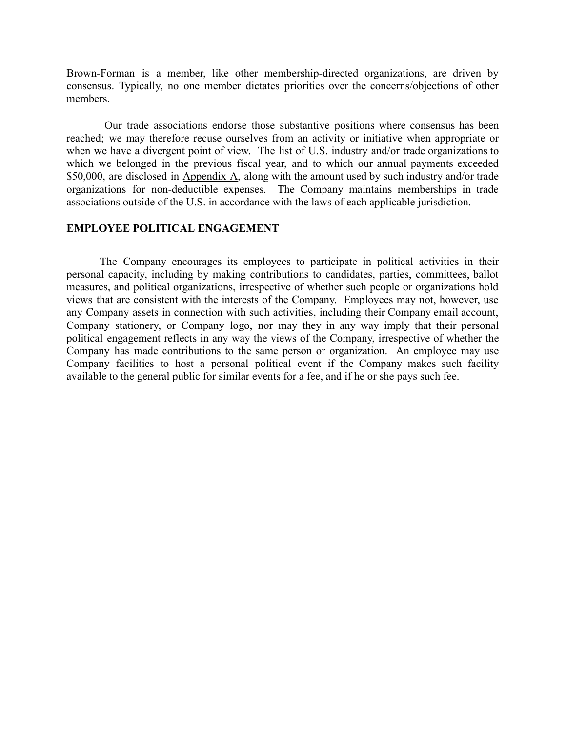Brown-Forman is a member, like other membership-directed organizations, are driven by consensus. Typically, no one member dictates priorities over the concerns/objections of other members.

Our trade associations endorse those substantive positions where consensus has been reached; we may therefore recuse ourselves from an activity or initiative when appropriate or when we have a divergent point of view. The list of U.S. industry and/or trade organizations to which we belonged in the previous fiscal year, and to which our annual payments exceeded \$50,000, are disclosed in Appendix A, along with the amount used by such industry and/or trade organizations for non-deductible expenses. The Company maintains memberships in trade associations outside of the U.S. in accordance with the laws of each applicable jurisdiction.

### **EMPLOYEE POLITICAL ENGAGEMENT**

The Company encourages its employees to participate in political activities in their personal capacity, including by making contributions to candidates, parties, committees, ballot measures, and political organizations, irrespective of whether such people or organizations hold views that are consistent with the interests of the Company. Employees may not, however, use any Company assets in connection with such activities, including their Company email account, Company stationery, or Company logo, nor may they in any way imply that their personal political engagement reflects in any way the views of the Company, irrespective of whether the Company has made contributions to the same person or organization. An employee may use Company facilities to host a personal political event if the Company makes such facility available to the general public for similar events for a fee, and if he or she pays such fee.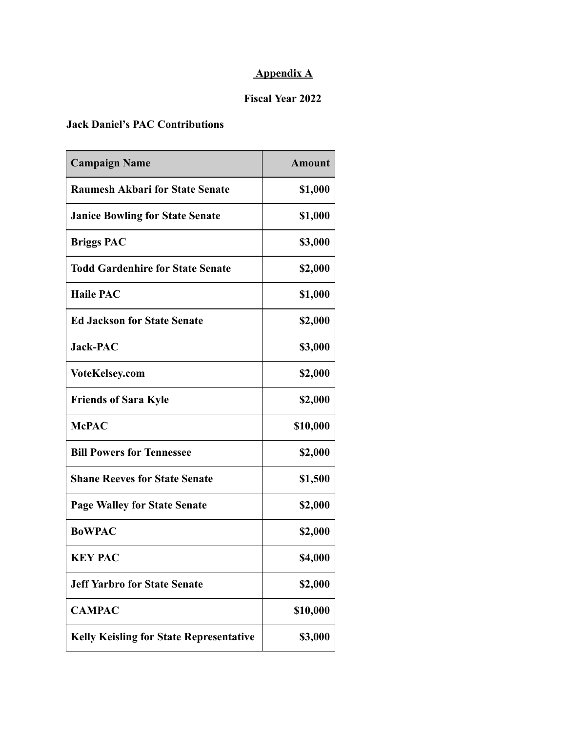# **Appendix A**

# **Fiscal Year 2022**

# **Jack Daniel's PAC Contributions**

| <b>Campaign Name</b>                           | <b>Amount</b> |
|------------------------------------------------|---------------|
| <b>Raumesh Akbari for State Senate</b>         | \$1,000       |
| <b>Janice Bowling for State Senate</b>         | \$1,000       |
| <b>Briggs PAC</b>                              | \$3,000       |
| <b>Todd Gardenhire for State Senate</b>        | \$2,000       |
| <b>Haile PAC</b>                               | \$1,000       |
| <b>Ed Jackson for State Senate</b>             | \$2,000       |
| <b>Jack-PAC</b>                                | \$3,000       |
| <b>VoteKelsey.com</b>                          | \$2,000       |
| <b>Friends of Sara Kyle</b>                    | \$2,000       |
| <b>McPAC</b>                                   | \$10,000      |
| <b>Bill Powers for Tennessee</b>               | \$2,000       |
| <b>Shane Reeves for State Senate</b>           | \$1,500       |
| <b>Page Walley for State Senate</b>            | \$2,000       |
| <b>BoWPAC</b>                                  | \$2,000       |
| <b>KEY PAC</b>                                 | \$4,000       |
| <b>Jeff Yarbro for State Senate</b>            | \$2,000       |
| <b>CAMPAC</b>                                  | \$10,000      |
| <b>Kelly Keisling for State Representative</b> | \$3,000       |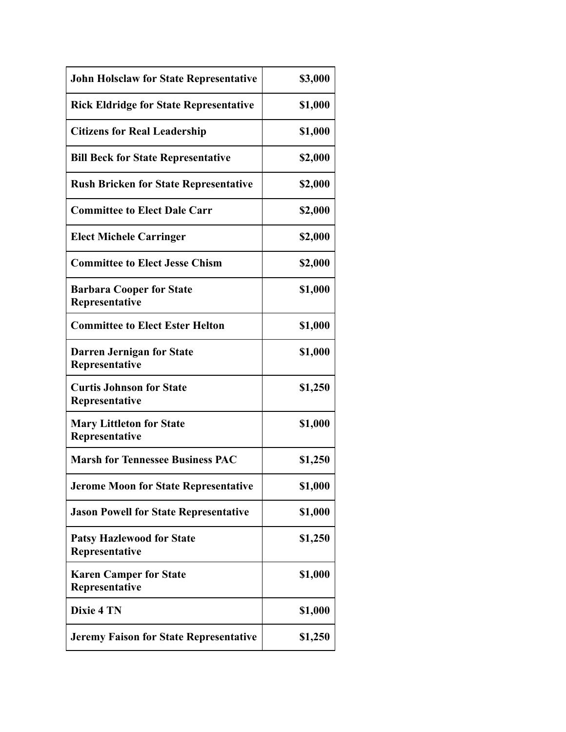| <b>John Holsclaw for State Representative</b>      | \$3,000 |
|----------------------------------------------------|---------|
| <b>Rick Eldridge for State Representative</b>      | \$1,000 |
| <b>Citizens for Real Leadership</b>                | \$1,000 |
| <b>Bill Beck for State Representative</b>          | \$2,000 |
| <b>Rush Bricken for State Representative</b>       | \$2,000 |
| <b>Committee to Elect Dale Carr</b>                | \$2,000 |
| <b>Elect Michele Carringer</b>                     | \$2,000 |
| <b>Committee to Elect Jesse Chism</b>              | \$2,000 |
| <b>Barbara Cooper for State</b><br>Representative  | \$1,000 |
| <b>Committee to Elect Ester Helton</b>             | \$1,000 |
| <b>Darren Jernigan for State</b><br>Representative | \$1,000 |
| <b>Curtis Johnson for State</b><br>Representative  | \$1,250 |
| <b>Mary Littleton for State</b><br>Representative  | \$1,000 |
| <b>Marsh for Tennessee Business PAC</b>            | \$1,250 |
| <b>Jerome Moon for State Representative</b>        | \$1,000 |
| <b>Jason Powell for State Representative</b>       | \$1,000 |
| <b>Patsy Hazlewood for State</b><br>Representative | \$1,250 |
| <b>Karen Camper for State</b><br>Representative    | \$1,000 |
| <b>Dixie 4 TN</b>                                  | \$1,000 |
| <b>Jeremy Faison for State Representative</b>      | \$1,250 |